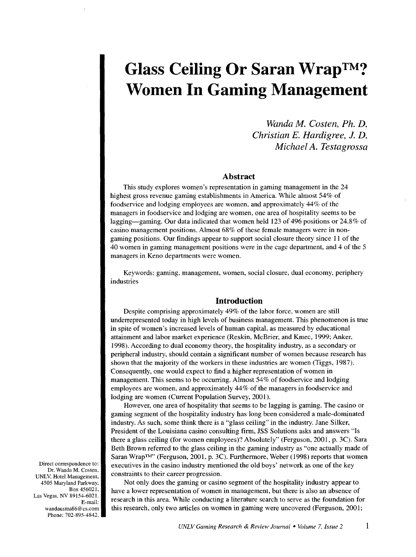# **Glass Ceiling Or Saran Wrap™? Women In Gaming Management**

*Wanda M. Costen, Ph. D. Christian E. Hardigree,* J. *D. Michael A. Testagrossa* 

#### **Abstract**

This study explores women's representation in gaming management in the 24 highest gross revenue gaming establishments in America. While almost 54% of foodservice and lodging employees are women, and approximately 44% of the managers in foodservice and lodging are women, one area of hospitality seems to be lagging—gaming. Our data indicated that women held 123 of 496 positions or 24.8% of casino management positions. Almost 68% of these female managers were in nongaming positions. Our findings appear to support social closure theory since 11 of the 40 women in gaming management positions were in the cage department, and 4 of the 5 managers in Keno departments were women.

Keywords: gaming, management, women, social closure, dual economy, periphery industries

## **Introduction**

Despite comprising approximately 49% of the labor force, women are still underrepresented today in high levels of business management. This phenomenon is true in spite of women's increased levels of human capital, as measured by educational attainment and labor market experience (Reskin, McBrier, and Kmec, 1999; Anker, 1998). According to dual economy theory, the hospitality industry, as a secondary or peripheral industry, should contain a significant number of women because research has shown that the majority of the workers in these industries are women (Tiggs, 1987). Consequently, one would expect to find a higher representation of women in management. This seems to be occurring. Almost 54% of foodservice and lodging employees are women, and approximately 44% of the managers in foodservice and lodging are women (Current Population Survey, 2001).

However, one area of hospitality that seems to be lagging is gaming. The casino or gaming segment of the hospitality industry has long been considered a male-dominated industry. As such, some think there is a "glass ceiling" in the industry. Jane Silker, President of the Louisiana casino consulting firm, JSS Solutions asks and answers "Is there a glass ceiling (for women employees)? Absolutely" (Ferguson, 2001, p. 3C). Sara Beth Brown referred to the glass ceiling in the gaming industry as "one actually made of Saran Wrap™" (Ferguson, 2001, p. 3C). Furthermore, Weber (1998) reports that women executives in the casino industry mentioned the old boys' network as one of the key constraints to their career progression.

Not only does the gaming or casino segment of the hospitality industry appear to have a lower representation of women in management, but there is also an absence of research in this area. While conducting a literature search to serve as the foundation for this research, only two articles on women in gaming were uncovered (Ferguson, 2001;

Direct correspondence to: Dr. Wanda M. Costen. UNLV. Hotel Management, 4505 Maryland Parkway, Box 456021. Las Vegas, NV 89154-6021. E-mail: wandausma86@ cs.com Phone: 702-895-4842.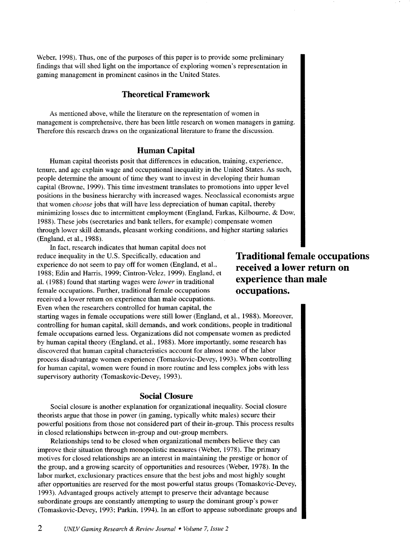Weber, 1998). Thus, one of the purposes of this paper is to provide some preliminary findings that will shed light on the importance of exploring women's representation in gaming management in prominent casinos in the United States.

## **Theoretical Framework**

As mentioned above, while the literature on the representation of women in management is comprehensive, there has been little research on women managers in gaming. Therefore this research draws on the organizational literature to frame the discussion.

# **Human Capital**

Human capital theorists posit that differences in education, training, experience, tenure, and age explain wage and occupational inequality in the United States. As such, people determine the amount of time they want to invest in developing their human capital (Browne, 1999). This time investment translates to promotions into upper level positions in the business hierarchy with increased wages. Neoclassical economists argue that women *choose* jobs that will have less depreciation of human capital, thereby minimizing losses due to intermittent employment (England, Farkas, Kilbourne, & Dow, 1988). These jobs (secretaries and bank tellers, for example) compensate women through lower skill demands, pleasant working conditions, and higher starting salaries (England, et al., 1988).

In fact, research indicates that human capital does not reduce inequality in the U.S. Specifically, education and experience do not seem to pay off for women (England, et al., 1988; Edin and Harris, 1999; Cintron-Velez, 1999). England, et al. (1988) found that starting wages were *lower* in traditional female occupations. Further, traditional female occupations received a lower return on experience than male occupations. Even when the researchers controlled for human capital, the

**Traditional female occupations received a lower return on experience than male occupations.** 

starting wages in female occupations were still lower (England, et al., 1988). Moreover, controlling for human capital, skill demands, and work conditions, people in traditional female occupations earned less. Organizations did not compensate women as predicted by human capital theory (England, et al., 1988). More importantly, some research has discovered that human capital characteristics account for almost none of the labor process disadvantage women experience (Tomaskovic-Devey, 1993). When controlling for human capital, women were found in more routine and less complex jobs with less supervisory authority (Tomaskovic-Devey, 1993).

#### **Social Closure**

Social closure is another explanation for organizational inequality. Social closure theorists argue that those in power (in gaming, typically white males) secure their powerful positions from those not considered part of their in-group. This process results in closed relationships between in-group and out-group members.

Relationships tend to be closed when organizational members believe they can improve their situation through monopolistic measures (Weber, 1978). The primary motives for closed relationships are an interest in maintaining the prestige or honor of the group, and a growing scarcity of opportunities and resources (Weber, 1978). In the labor market, exclusionary practices ensure that the best jobs and most highly sought after opportunities are reserved for the most powerful status groups (Tomaskovic-Devey, 1993). Advantaged groups actively attempt to preserve their advantage because subordinate groups are constantly attempting to usurp the dominant group's power (Tomaskovic-Devey, 1993; Parkin, 1994). In an effort to appease subordinate groups and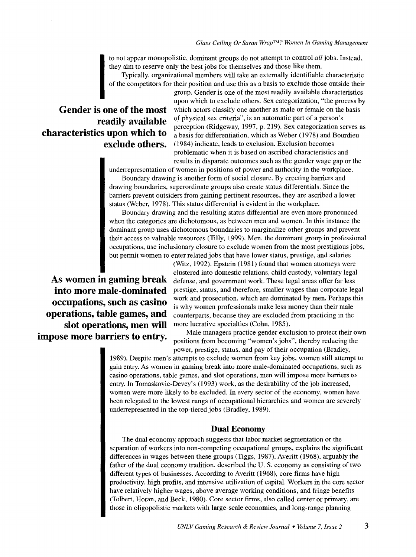to not appear monopolistic, dominant groups do not attempt to control *all* jobs. Instead, they aim to reserve only the best jobs for themselves and those like them.

Typically, organizational members will take an externally identifiable characteristic of the competitors for their position and use this as a basis to exclude those outside their

# **Gender is one of the most readily available characteristics upon which to exclude others.**

group. Gender is one of the most readily available characteristics upon which to exclude others. Sex categorization, "the process by which actors classify one another as male or female on the basis of physical sex criteria", is an automatic part of a person's perception (Ridgeway, 1997, p. 219). Sex categorization serves as a basis for differentiation, which as Weber (1978) and Bourdieu ( 1984) indicate, leads to exclusion. Exclusion becomes problematic when it is based on ascribed characteristics and results in disparate outcomes such as the gender wage gap or the

underrepresentation of women in positions of power and authority in the workplace.

Boundary drawing is another form of social closure. By erecting barriers and drawing boundaries, superordinate groups also create status differentials. Since the barriers prevent outsiders from gaining pertinent resources, they are ascribed a lower status (Weber, 1978). This status differential is evident in the workplace.

Boundary drawing and the resulting status differential are even more pronounced when the categories are dichotomous, as between men and women. In this instance the dominant group uses dichotomous boundaries to marginalize other groups and prevent their access to valuable resources (Tilly, 1999). Men, the dominant group in professional occupations, use inclusionary closure to exclude women from the most prestigious jobs, but permit women to enter related jobs that have lower status, prestige, and salaries

**As women in gaming break into more male-dominated occupations, such as casino operations, table games, and slot operations, men will impose more barriers to entry.** 

(Witz, 1992). Epstein (1981) found that women attorneys were clustered into domestic relations, child custody, voluntary legal defense, and government work. These legal areas offer far less prestige, status, and therefore, smaller wages than corporate legal work and prosecution, which are dominated by men. Perhaps this is why women professionals make less money than their male counterparts, because they are excluded from practicing in the more lucrative specialties (Cohn, 1985).

Male managers practice gender exclusion to protect their own positions from becoming "women's jobs", thereby reducing the power, prestige, status, and pay of their occupation (Bradley,

1989). Despite men's attempts to exclude women from key jobs, women still attempt to gain entry. As women in gaming break into more male-dominated occupations, such as casino operations, table games, and slot operations, men will impose more barriers to entry. In Tomaskovic-Devey's (1993) work, as the desirability of the job increased, women were more likely to be excluded. In every sector of the economy, women have been relegated to the lowest rungs of occupational hierarchies and women are severely underrepresented in the top-tiered jobs (Bradley, 1989).

#### **Dual Economy**

The dual economy approach suggests that labor market segmentation or the separation of workers into non-competing occupational groups, explains the significant differences in wages between these groups (Tiggs, 1987). Averitt (1968), arguably the father of the dual economy tradition, described the U. S. economy as consisting of two different types of businesses. According to Averitt (1968), core firms have high productivity, high profits, and intensive utilization of capital. Workers in the core sector have relatively higher wages, above average working conditions, and fringe benefits (Tolbert, Horan, and Beck, 1980). Core sector firms, also called center or primary, are those in oligopolistic markets with large-scale economies, and long-range planning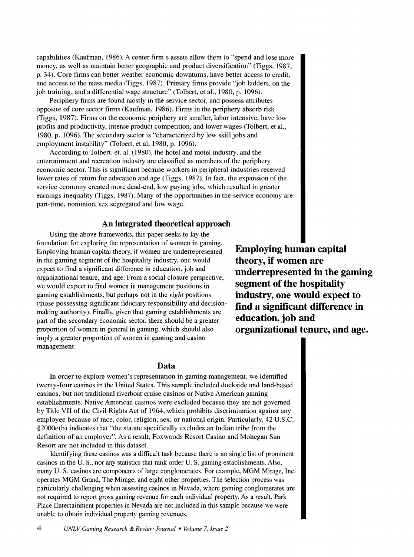capabilities (Kaufman, 1986). A center firm's assets allow them to "spend and lose more money, as well as maintain better geographic and product diversification" (Tiggs, 1987, p. 34 ). Core firms can better weather economic downturns, have better access to credit, and access to the mass media (Tiggs, 1987). Primary firms provide "job ladders, on the job training, and a differential wage structure" (Tolbert, et al., 1980, p. 1096).

Periphery firms are found mostly in the service sector, and possess attributes opposite of core sector firms (Kaufman, 1986). Firms in the periphery absorb risk (Tiggs, 1987). Firms on the economic periphery are smaller, labor intensive, have low profits and productivity, intense product competition, and lower wages (Tolbert, et al., 1980, p. 1096). The secondary sector is "characterized by low skill jobs and employment instability" (Tolbert, et al, 1980, p. 1096).

According to Tolbert, et. al. (1980), the hotel and motel industry, and the entertainment and recreation industry are classified as members of the periphery economic sector. This is significant because workers in peripheral industries received lower rates of return for education and age (Tiggs, 1987). In fact, the expansion of the service economy created more dead-end, low paying jobs, which resulted in greater earnings inequality (Tiggs, 1987). Many of the opportunities in the service economy are part-time, nonunion, sex segregated and low wage.

#### **An integrated theoretical approach**

Using the above frameworks, this paper seeks to lay the foundation for exploring the representation of women in gaming. Employing human capital theory, if women are underrepresented in the gaming segment of the hospitality industry, one would expect to find a significant difference in education, job and organizational tenure, and age. From a social closure perspective, we would expect to find women in management positions in gaming establishments, but perhaps not in the *right* positions (those possessing significant fiduciary responsibility and decisionmaking authority). Finally, given that gaming establishments are part of the secondary economic sector, there should be a greater proportion of women in general in gaming, which should also imply a greater proportion of women in gaming and casino management.

**Employing human capital theory, if women are underrepresented in the gaming segment of the hospitality industry, one would expect to find a significant difference in education, job and organizational tenure, and age.** 

**Data** 

In order to explore women's representation in gaming management, we identified twenty-four casinos in the United States. This sample included dockside and land-based casinos, but not traditional riverboat cruise casinos or Native American gaming establishments. Native American casinos were excluded because they are not governed by Title VII of the Civil Rights Act of 1964, which prohibits discrimination against any employee because of race, color, religion, sex, or national origin. Particularly, 42 U.S.C. §2000e(b) indicates that "the statute specifically excludes an Indian tribe from the definition of an employer". As a result, Foxwoods Resort Casino and Mohegan Sun Resort are not included in this dataset.

Identifying these casinos was a difficult task because there is no single list of prominent casinos in the U. S., nor any statistics that rank order U. S. gaming establishments. Also, many U. S. casinos are components of large conglomerates. For example, MGM Mirage, Inc. operates MGM Grand, The Mirage, and eight other properties. The selection process was particularly challenging when assessing casinos in Nevada, where gaming conglomerates are not required to report gross gaming revenue for each individual property. As a result, Park Place Entertainment properties in Nevada are not included in this sample because we were unable to obtain individual property gaming revenues.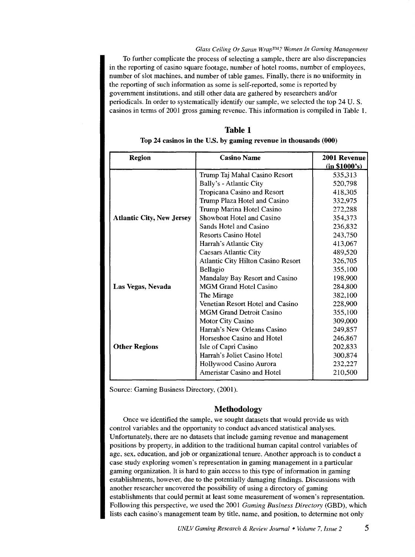#### *Glass Ceiling Or Saran Wrap* TM? *Women In Gaming Management*

To further complicate the process of selecting a sample, there are also discrepancies in the reporting of casino square footage, number of hotel rooms, number of employees, number of slot machines, and number of table games. Finally, there is no uniformity in the reporting of such information as some is self-reported, some is reported by government institutions, and still other data are gathered by researchers and/or periodicals. In order to systematically identify our sample, we selected the top 24 U.S. casinos in terms of 2001 gross gaming revenue. This information is compiled in Table 1.

| <b>Region</b>                    | <b>Casino Name</b>                        | 2001 Revenue  |
|----------------------------------|-------------------------------------------|---------------|
|                                  |                                           | (in \$1000's) |
|                                  | Trump Taj Mahal Casino Resort             | 535,313       |
|                                  | Bally's - Atlantic City                   | 520,798       |
|                                  | Tropicana Casino and Resort               | 418,305       |
|                                  | Trump Plaza Hotel and Casino              | 332,975       |
|                                  | Trump Marina Hotel Casino                 | 272,288       |
| <b>Atlantic City, New Jersey</b> | Showboat Hotel and Casino                 | 354,373       |
|                                  | Sands Hotel and Casino                    | 236,832       |
|                                  | <b>Resorts Casino Hotel</b>               | 243,750       |
|                                  | Harrah's Atlantic City                    | 413,067       |
|                                  | <b>Caesars Atlantic City</b>              | 489,520       |
|                                  | <b>Atlantic City Hilton Casino Resort</b> | 326,705       |
|                                  | Bellagio                                  | 355,100       |
|                                  | Mandalay Bay Resort and Casino            | 198,900       |
| Las Vegas, Nevada                | <b>MGM Grand Hotel Casino</b>             | 284,800       |
|                                  | The Mirage                                | 382,100       |
|                                  | Venetian Resort Hotel and Casino          | 228,900       |
|                                  | <b>MGM Grand Detroit Casino</b>           | 355,100       |
|                                  | <b>Motor City Casino</b>                  | 309,000       |
|                                  | Harrah's New Orleans Casino               | 249.857       |
|                                  | Horseshoe Casino and Hotel                | 246,867       |
| <b>Other Regions</b>             | Isle of Capri Casino                      | 202,833       |
|                                  | Harrah's Joliet Casino Hotel              | 300,874       |
|                                  | Hollywood Casino Aurora                   | 232,227       |
|                                  | Ameristar Casino and Hotel                | 210,500       |

Table 1 Top 24 casinos in the U.S. by gaming revenue in thousands (000)

Source: Gaming Business Directory, (2001).

#### Methodology

Once we identified the sample, we sought datasets that would provide us with control variables and the opportunity to conduct advanced statistical analyses. Unfortunately, there are no datasets that include gaming revenue and management positions by property, in addition to the traditional human capital control variables of age, sex, education, and job or organizational tenure. Another approach is to conduct a case study exploring women's representation in gaming management in a particular gaming organization. It is hard to gain access to this type of information in gaming establishments, however, due to the potentially damaging findings. Discussions with another researcher uncovered the possibility of using a directory of gaming establishments that could permit at least some measurement of women's representation. Following this perspective, we used the 2001 *Gaming Business Directory* (GBD), which lists each casino's management team by title, name, and position, to determine not only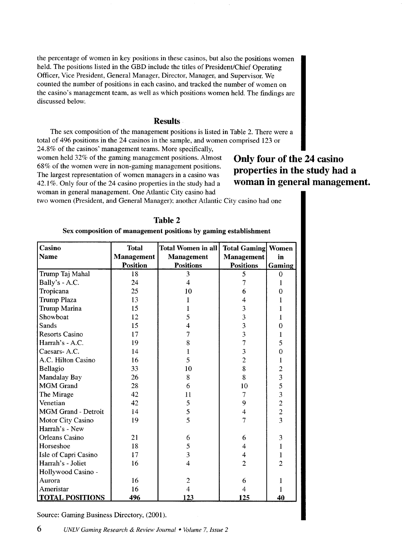the percentage of women in key positions in these casinos, but also the positions women held. The positions listed in the GBD include the titles of President/Chief Operating Officer, Vice President, General Manager, Director, Manager, and Supervisor. We counted the number of positions in each casino, and tracked the number of women on the casino's management team, as well as which positions women held. The findings are discussed below.

## Results.

The sex composition of the management positions is listed in Table 2. There were a total of 496 positions in the 24 casinos in the sample, and women comprised 123 or

24.8% of the casinos' management teams. More specifically, women held 32% of the gaming management positions. Almost 68% of the women were in non-gaming management positions. The largest representation of women managers in a casino was 42.1 %. Only four of the 24 casino properties in the study had a woman in general management. One Atlantic City casino had

# Only four of the 24 casino properties in the study had a woman in general management.

two women (President, and General Manager): another Atlantic City casino had one

| Table 2                                                         |  |  |
|-----------------------------------------------------------------|--|--|
| Sex composition of management positions by gaming establishment |  |  |

| Casino                     | <b>Total</b>      | <b>Total Women in all</b> | <b>Total Gaming Women</b> |                |
|----------------------------|-------------------|---------------------------|---------------------------|----------------|
| <b>Name</b>                | <b>Management</b> | Management                | Management                | in             |
|                            | <b>Position</b>   | <b>Positions</b>          | <b>Positions</b>          | Gaming         |
| Trump Taj Mahal            | 18                | 3                         | 5                         | $\Omega$       |
| Bally's - A.C.             | 24                | $\overline{4}$            | 7                         |                |
| Tropicana                  | 25                | 10                        | 6                         | 0              |
| <b>Trump Plaza</b>         | 13                |                           | 4                         |                |
| Trump Marina               | 15                |                           | 3                         |                |
| Showboat                   | 12                | 5                         | $\overline{\mathbf{3}}$   |                |
| Sands                      | 15                | 4                         | $\overline{\mathbf{3}}$   | 0              |
| <b>Resorts Casino</b>      | 17                | 7                         | $\overline{\mathbf{3}}$   | 1              |
| Harrah's - A.C.            | 19                | 8                         | 7                         | 5              |
| Caesars-A.C.               | 14                | ł                         | $\overline{3}$            | $\overline{0}$ |
| A.C. Hilton Casino         | 16                | 5                         | $\overline{c}$            | $\mathbf{I}$   |
| Bellagio                   | 33                | 10                        | 8                         |                |
| Mandalay Bay               | 26                | 8                         | 8                         | 2353223        |
| <b>MGM</b> Grand           | 28                | 6                         | 10                        |                |
| The Mirage                 | 42                | 11                        | 7                         |                |
| Venetian                   | 42                | 5                         | 9                         |                |
| <b>MGM Grand - Detroit</b> | 14                | 5                         | $\overline{\mathbf{4}}$   |                |
| Motor City Casino          | 19                | 5                         | 7                         |                |
| Harrah's - New             |                   |                           |                           |                |
| Orleans Casino             | 21                | 6                         | 6                         | 3              |
| Horseshoe                  | 18                | 5                         | 4                         | $\mathbf{1}$   |
| Isle of Capri Casino       | 17                | $\overline{\mathbf{3}}$   | $\overline{\mathbf{4}}$   | $\mathbf{1}$   |
| Harrah's - Joliet          | 16                | $\overline{\mathcal{L}}$  | $\overline{2}$            | $\overline{c}$ |
| Hollywood Casino -         |                   |                           |                           |                |
| Aurora                     | 16                | $\overline{c}$            | 6                         | 1              |
| Ameristar                  | 16                | 4                         | $\overline{4}$            | 1              |
| <b>TOTAL POSITIONS</b>     | 496               | 123                       | 125                       | 40             |

Source: Gaming Business Directory, (2001).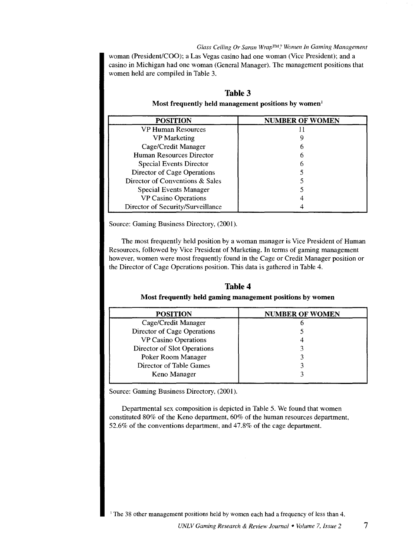*Glass Ceiling Or Saran WrapTM? Women In Gaming Management*  woman (President/COO); a Las Vegas casino had one woman (Vice President); and a casino in Michigan had one woman (General Manager). The management positions that women held are compiled in Table 3.

| <b>POSITION</b>                   | <b>NUMBER OF WOMEN</b> |
|-----------------------------------|------------------------|
| VP Human Resources                |                        |
| VP Marketing                      |                        |
| Cage/Credit Manager               |                        |
| Human Resources Director          |                        |
| <b>Special Events Director</b>    |                        |
| Director of Cage Operations       |                        |
| Director of Conventions & Sales   |                        |
| <b>Special Events Manager</b>     |                        |
| <b>VP Casino Operations</b>       |                        |
| Director of Security/Surveillance |                        |

# **Table 3**

**Most frequently held management positions by women<sup>1</sup>**

Source: Gaming Business Directory, (2001).

The most frequently held position by a woman manager is Vice President of Human Resources, followed by Vice President of Marketing. In terms of gaming management however, women were most frequently found in the Cage or Credit Manager position or the Director of Cage Operations position. This data is gathered in Table 4.

# **Table 4 Most frequently held gaming management positions by women**

| <b>POSITION</b>             | <b>NUMBER OF WOMEN</b> |
|-----------------------------|------------------------|
| Cage/Credit Manager         |                        |
| Director of Cage Operations |                        |
| VP Casino Operations        |                        |
| Director of Slot Operations |                        |
| Poker Room Manager          |                        |
| Director of Table Games     |                        |
| Keno Manager                |                        |

Source: Gaming Business Directory, (2001).

Departmental sex composition is depicted in Table 5. We found that women constituted 80% of the Keno department, 60% of the human resources department, 52.6% of the conventions department, and 47.8% of the cage department.

<sup>1</sup> The 38 other management positions held by women each had a frequency of less than 4.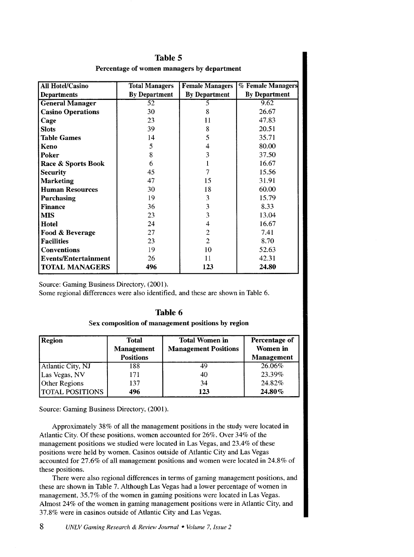| <b>All Hotel/Casino</b>     | <b>Total Managers</b> | <b>Female Managers</b> | % Female Managers    |
|-----------------------------|-----------------------|------------------------|----------------------|
| <b>Departments</b>          | <b>By Department</b>  | <b>By Department</b>   | <b>By Department</b> |
| <b>General Manager</b>      | 52                    | 5                      | 9.62                 |
| <b>Casino Operations</b>    | 30                    | 8                      | 26.67                |
| Cage                        | 23                    | 11                     | 47.83                |
| <b>Slots</b>                | 39                    | 8                      | 20.51                |
| <b>Table Games</b>          | 14                    | 5                      | 35.71                |
| Keno                        | 5                     | 4                      | 80.00                |
| Poker                       | 8                     | $\overline{3}$         | 37.50                |
| Race & Sports Book          | 6                     | 1                      | 16.67                |
| <b>Security</b>             | 45                    | 7                      | 15.56                |
| <b>Marketing</b>            | 47                    | 15                     | 31.91                |
| <b>Human Resources</b>      | 30                    | 18                     | 60.00                |
| Purchasing                  | 19                    | 3                      | 15.79                |
| <b>Finance</b>              | 36                    | 3                      | 8.33                 |
| <b>MIS</b>                  | 23                    | 3                      | 13.04                |
| Hotel                       | 24                    | 4                      | 16.67                |
| Food & Beverage             | 27                    | $\overline{c}$         | 7.41                 |
| <b>Facilities</b>           | 23                    | $\overline{2}$         | 8.70                 |
| <b>Conventions</b>          | 19                    | 10                     | 52.63                |
| <b>Events/Entertainment</b> | 26                    | 11                     | 42.31                |
| <b>TOTAL MANAGERS</b>       | 496                   | 123                    | 24.80                |

# **Table 5**  Percentage of women managers by department

Source: Gaming Business Directory, (2001).

Some regional differences were also identified, and these are shown in Table 6.

|  | 'NІ<br>я | Iе |  |
|--|----------|----|--|
|--|----------|----|--|

Sex composition of management positions by region

| Region                 | <b>Total</b><br><b>Management</b><br><b>Positions</b> | <b>Total Women in</b><br><b>Management Positions</b> | Percentage of<br>Women in<br><b>Management</b> |
|------------------------|-------------------------------------------------------|------------------------------------------------------|------------------------------------------------|
| Atlantic City, NJ      | 188                                                   | 49                                                   | 26.06%                                         |
| Las Vegas, NV          | 171                                                   | 40                                                   | 23.39%                                         |
| Other Regions          | 137                                                   | 34                                                   | 24.82%                                         |
| <b>TOTAL POSITIONS</b> | 496                                                   | 123                                                  | 24.80%                                         |

Source: Gaming Business Directory, (2001).

Approximately 38% of all the management positions in the study were located in Atlantic City. Of these positions, women accounted for 26%. Over 34% of the management positions we studied were located in Las Vegas, and 23.4% of these positions were held by women. Casinos outside of Atlantic City and Las Vegas accounted for 27.6% of all management positions and women were located in 24.8% of these positions.

There were also regional differences in terms of gaming management positions, and these are shown in Table 7. Although Las Vegas had a lower percentage of women in management, 35.7% of the women in gaming positions were located in Las Vegas. Almost 24% of the women in gaming management positions were in Atlantic City, and 37.8% were in casinos outside of Atlantic City and Las Vegas.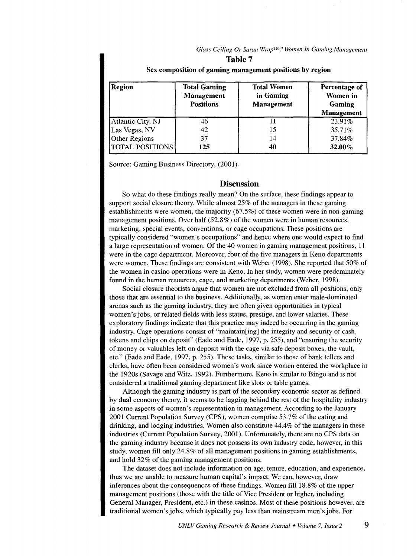*Glass Ceiling Or Saran WrapTM? Women In Gaming Management*  **Table 7** 

| Region                 | <b>Total Gaming</b><br><b>Management</b><br><b>Positions</b> | <b>Total Women</b><br>in Gaming<br>Management | Percentage of<br>Women in<br>Gaming<br><b>Management</b> |
|------------------------|--------------------------------------------------------------|-----------------------------------------------|----------------------------------------------------------|
| Atlantic City, NJ      | 46                                                           |                                               | 23.91%                                                   |
| Las Vegas, NV          | 42                                                           | 15                                            | 35.71%                                                   |
| Other Regions          | 37                                                           | 14                                            | 37.84%                                                   |
| <b>TOTAL POSITIONS</b> | 125                                                          | 40                                            | 32.00%                                                   |

#### Sex composition of gaming management positions by region

Source: Gaming Business Directory, (2001).

#### **Discussion**

So what do these findings really mean? On the surface, these findings appear to support social closure theory. While almost 25% of the managers in these gaming establishments were women, the majority (67 .5%) of these women were in non-gaming management positions. Over half (52.8%) of the women were in human resources, marketing, special events, conventions, or cage occupations. These positions are typically considered "women's occupations" and hence where one would expect to find a large representation of women. Of the 40 women in gaming management positions, 11 were in the cage department. Moreover, four of the five managers in Keno departments were women. These findings are consistent with Weber (1998). She reported that 50% of the women in casino operations were in Keno. In her study, women were predominately found in the human resources, cage, and marketing departments (Weber, 1998).

Social closure theorists argue that women are not excluded from all positions, only those that are essential to the business. Additionally, as women enter male-dominated arenas such as the gaming industry, they are often given opportunities in typical women's jobs, or related fields with less status, prestige, and lower salaries. These exploratory findings indicate that this practice may indeed be occurring in the gaming industry. Cage operations consist of "maintain[ing] the integrity and security of cash, tokens and chips on deposit" (Eade and Eade, 1997, p. 255), and "ensuring the security of money or valuables left on deposit with the cage via safe deposit boxes, the vault, etc." (Eade and Eade, 1997, p. 255). These tasks, similar to those of bank tellers and clerks, have often been considered women's work since women entered the workplace in the 1920s (Savage and Witz, 1992). Furthermore, Keno is similar to Bingo and is not considered a traditional gaming department like slots or table games.

Although the gaming industry is part of the secondary economic sector as defined by dual economy theory, it seems to be lagging behind the rest of the hospitality industry in some aspects of women's representation in management. According to the January 2001 Current Population Survey (CPS), women comprise 53.7% of the eating and drinking, and lodging industries. Women also constitute 44.4% of the managers in these industries (Current Population Survey, 2001). Unfortunately, there are no CPS data on the gaming industry because it does not possess its own industry code, however, in this study, women fill only 24.8% of all management positions in gaming establishments, and hold 32% of the gaming management positions.

The dataset does not include information on age, tenure, education, and experience, thus we are unable to measure human capital's impact. We can, however, draw inferences about the consequences of these findings. Women fill 18.8% of the upper management positions (those with the title of Vice President or higher, including General Manager, President, etc.) in these casinos. Most of these positions however, are traditional women's jobs, which typically pay less than mainstream men's jobs. For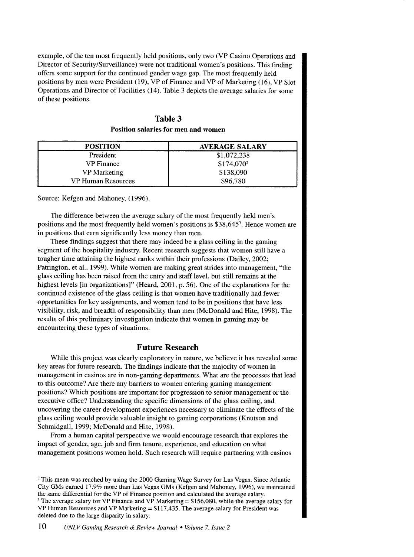example, of the ten most frequently held positions, only two (VP Casino Operations and Director of Security/Surveillance) were not traditional women's positions. This finding offers some support for the continued gender wage gap. The most frequently held positions by men were President (19), VP of Finance and VP of Marketing (16), VP Slot Operations and Director of Facilities (14). Table 3 depicts the average salaries for some of these positions.

| Table 3 |                                     |  |
|---------|-------------------------------------|--|
|         | Position salaries for men and women |  |

| <b>POSITION</b>           | <b>AVERAGE SALARY</b>  |
|---------------------------|------------------------|
| President                 | \$1,072,238            |
| <b>VP</b> Finance         | \$174,070 <sup>2</sup> |
| <b>VP</b> Marketing       | \$138,090              |
| <b>VP Human Resources</b> | \$96,780               |

Source: Kefgen and Mahoney, (1996).

The difference between the average salary of the most frequently held men's positions and the most frequently held women's positions is \$38,645<sup>3</sup>. Hence women are in positions that earn significantly less money than men.

These findings suggest that there may indeed be a glass ceiling in the gaming segment of the hospitality industry. Recent research suggests that women still have a tougher time attaining the highest ranks within their professions (Dailey, 2002; Patrington, et al., 1999). While women are making great strides into management, "the glass ceiling has been raised from the entry and staff level, but still remains at the highest levels [in organizations]" (Heard, 2001, p. 56). One of the explanations for the continued existence of the glass ceiling is that women have traditionally had fewer opportunities for key assignments, and women tend to be in positions that have less visibility, risk, and breadth of responsibility than men (McDonald and Hite, 1998). The results of this preliminary investigation indicate that women in gaming may be encountering these types of situations.

#### **Future Research**

While this project was clearly exploratory in nature, we believe it has revealed some key areas for future research. The findings indicate that the majority of women in management in casinos are in non-gaming departments. What are the processes that lead to this outcome? Are there any barriers to women entering gaming management positions? Which positions are important for progression to senior management or the executive office? Understanding the specific dimensions of the glass ceiling, and uncovering the career development experiences necessary to eliminate the effects of the glass ceiling would provide valuable insight to gaming corporations (Knutson and Schmidgall, 1999; McDonald and Hite, 1998).

From a human capital perspective we would encourage research that explores the impact of gender, age, job and firm tenure, experience, and education on what management positions women hold. Such research will require partnering with casinos

<sup>2</sup> This mean was reached by using the 2000 Gaming Wage Survey for Las Vegas. Since Atlantic City GMs earned 17.9% more than Las Vegas GMs (Kefgen and Mahoney, 1996), we maintained the same differential for the VP of Finance position and calculated the average salary.<br><sup>3</sup> The average salary for VP Finance and VP Marketing =  $$156,080$ , while the average salary for VP Human Resources and VP Marketing  $= $117,435$ . The average salary for President was deleted due to the large disparity in salary.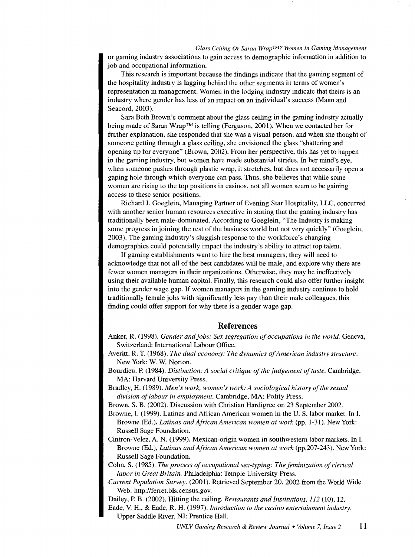#### *Glass Ceiling Or Saran WrapTM? Women In Gaming Management*

or gaming industry associations to gain access to demographic information in addition to job and occupational information.

This research is important because the findings indicate that the gaming segment of the hospitality industry is lagging behind the other segments in terms of women's representation in management. Women in the lodging industry indicate that theirs is an industry where gender has less of an impact on an individual's success (Mann and Seacord, 2003).

Sara Beth Brown's comment about the glass ceiling in the gaming industry actually being made of Saran Wrap™ is telling (Ferguson, 2001). When we contacted her for further explanation, she responded that she was a visual person, and when she thought of someone getting through a glass ceiling, she envisioned the glass "shattering and opening up for everyone" (Brown, 2002). From her perspective, this has yet to happen in the gaming industry, but women have made substantial strides. In her mind's eye, when someone pushes through plastic wrap, it stretches, but does not necessarily open a gaping hole through which everyone can pass. Thus, she believes that while some women are rising to the top positions in casinos, not all women seem to be gaining access to these senior positions.

Richard J. Goeglein, Managing Partner of Evening Star Hospitality, LLC, concurred with another senior human resources executive in stating that the gaming industry has traditionally been male-dominated. According to Goeglein, "The Industry is making some progress in joining the rest of the business world but not very quickly" (Goeglein, 2003). The gaming industry's sluggish response to the workforce's changing demographics could potentially impact the industry's ability to attract top talent.

If gaming establishments want to hire the best managers, they will need to acknowledge that not all of the best candidates will be male, and explore why there are fewer women managers in their organizations. Otherwise, they may be ineffectively using their available human capital. Finally, this research could also offer further insight into the gender wage gap. If women managers in the gaming industry continue to hold traditionally female jobs with significantly less pay than their male colleagues, this finding could offer support for why there is a gender wage gap.

#### **References**

- Anker, R. (1998). *Gender and jobs: Sex segregation of occupations in the world.* Geneva, Switzerland: International Labour Office.
- Averitt, R. T. (1968). *The dual economy: The dynamics of American industry structure.*  New York: W. W. Norton.
- Bourdieu, P. (1984). *Distinction: A social critique of the judgement of taste*. Cambridge, MA: Harvard University Press.
- Bradley, H. (1989). *Men's work, women's work: A sociological history of the sexual division of labour in employment.* Cambridge, MA: Polity Press.
- Brown, S. B. (2002). Discussion with Christian Hardigree on 23 September 2002.
- Browne, I. ( 1999). Latinas and African American women in the U. S. labor market. In I. Browne (Ed.), *Latinas and African American women at work* (pp. 1-31). New York: Russell Sage Foundation.
- Cintron-Velez, A. N. (1999). Mexican-origin women in southwestern labor markets. In I. Browne (Ed.), *Latinas and African American women at work* (pp.207-243). New York: Russell Sage Foundation.
- Cohn, S. (1985). *The process of occupational sex-typing: The feminization of clerical labor in Great Britain.* Philadelphia: Temple University Press.
- *Current Population Survey.* (2001). Retrieved September 20, 2002 from the World Wide Web: http://ferret.bls.census.gov.
- Dailey, P. B. (2002). Hitting the ceiling. *Restaurants and Institutions, 112* (10), 12.

Eade, V. H., & Eade, R. H. (1997). *Introduction to the casino entertainment industry.* 

Upper Saddle River, NJ: Prentice Hall.